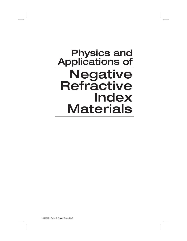## <span id="page-0-0"></span>Physics and Applications of **Negative** Refractive Index **Materials**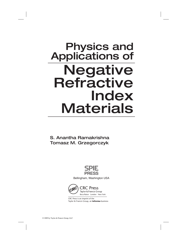# <span id="page-1-0"></span>Physics and Applications of Negative Refractive Index Materials

S. Anantha Ramakrishna Tomasz M. Grzegorczyk



Bellingham, Washington USA



CRC Press is an imprint of the Taylor & Francis Group, an **informa** business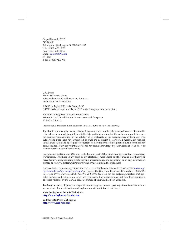<span id="page-2-0"></span>Co-published by SPIE P.O. Box 10 Bellingham, Washington 98227-0010 USA Tel.: +1 360-676-3290 Fax: +1 360-647-1445 Email: [Books@SPIE.org](mailto:Books@SPIE.org) spie.org ISBN: 9780819473998

CRC Press Taylor & Francis Group 6000 Broken Sound Parkway NW, Suite 300 Boca Raton, FL 33487-2742

© 2009 by Taylor & Francis Group, LLC CRC Press is an imprint of Taylor & Francis Group, an Informa business

No claim to original U.S. Government works Printed in the United States of America on acid-free paper 10 9 8 7 6 5 4 3 2 1

International Standard Book Number-13: 978-1-4200-6875-7 (Hardcover)

This book contains information obtained from authentic and highly regarded sources. Reasonable efforts have been made to publish reliable data and information, but the author and publisher cannot assume responsibility for the validity of all materials or the consequences of their use. The authors and publishers have attempted to trace the copyright holders of all material reproduced in this publication and apologize to copyright holders if permission to publish in this form has not been obtained. If any copyright material has not been acknowledged please write and let us know so we may rectify in any future reprint.

Except as permitted under U.S. Copyright Law, no part of this book may be reprinted, reproduced, transmitted, or utilized in any form by any electronic, mechanical, or other means, now known or hereafter invented, including photocopying, microfilming, and recording, or in any information storage or retrieval system, without written permission from the publishers.

For permission to photocopy or use material electronically from this work, please access [www.copy](http://www.copyright.com)[right.com](http://www.copyright.com) ([http://www.copyright.com/\)](http://www.copyright.com) or contact the Copyright Clearance Center, Inc. (CCC), 222 Rosewood Drive, Danvers, MA 01923, 978-750-8400. CCC is a not-for-profit organization that provides licenses and registration for a variety of users. For organizations that have been granted a photocopy license by the CCC, a separate system of payment has been arranged.

**Trademark Notice:** Product or corporate names may be trademarks or registered trademarks, and are used only for identification and explanation without intent to infringe.

**Visit the Taylor & Francis Web site at <http://www.taylorandfrancis.com>**

**and the CRC Press Web site at <http://www.crcpress.com>**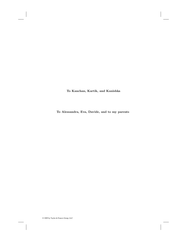<span id="page-3-0"></span>**To Kanchan, Kartik, and Kanishka**

**To Alessandra, Eva, Davide, and to my parents**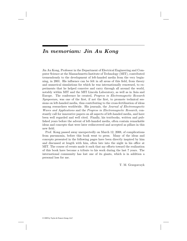#### <span id="page-4-0"></span>*In memoriam: Jin Au Kong*

Jin Au Kong, Professor in the Department of Electrical Engineering and Computer Science at the Massachusetts Institute of Technology (MIT), contributed tremendously to the development of left-handed media from the very beginning, in 2001. His influence can be felt in all areas of this field, from theory and numerical simulations for which he was internationally renowned, to experiments that he helped conceive and carry through all around the world, notably within MIT and the MIT Lincoln Laboratory, as well as in Asia and Europe. The conference he created, *Progress in Electromagnetic Research Symposium*, was one of the first, if not the first, to promote technical sessions on left-handed media, thus contributing to the cross-fertilization of ideas among researchers worldwide. His journals, the *Journal of Electromagnetic Waves and Applications* and the *Progress in Electromagnetic Research*, constantly call for innovative papers on all aspects of left-handed media, and have been well regarded and well cited. Finally, his textbooks, written and published years before the advent of left-handed media, often contain remarkable ideas and concepts that were later rediscovered and accepted as pillars in this new field.

Prof. Kong passed away unexpectedly on March 12, 2008, of complications from pneumonia, before this book went to press. Many of the ideas and concepts presented in the following pages have been directly inspired by him and discussed at length with him, often late into the night in his office at MIT. The course of events made it such that my efforts toward the realization of this book have become a tribute to his work during the last 7 years. The international community has lost one of its giants, which is in addition a personal loss for me.

T. M. Grzegorczyk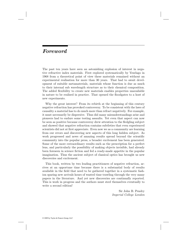#### <span id="page-5-0"></span>*Foreword*

The past ten years have seen an astonishing explosion of interest in negative refractive index materials. First explored systematically by Veselago in 1968 from a theoretical point of view these materials remained without an experimental realisation for more than 30 years. That had to await development of suitable metamaterials, materials whose function is due as much to their internal sub wavelength structure as to their chemical composition. The added flexibility to create new materials enables properties unavailable in nature to be realised in practice. That opened the floodgates to a host of new experiments.

Why the great interest? From its rebirth at the beginning of this century negative refraction has provoked controversy. To be consistent with the laws of causality a material has to do much more than refract negatively. For example, it must necessarily be dispersive. Thus did many misunderstandings arise and pioneers had to endure some testing assaults. Yet even that aspect can now be seen as positive because controversy drew attention to the fledgling subject and showed that negative refraction contains subtleties that even experienced scientists did not at first appreciate. Even now we as a community are learning from our errors and discovering new aspects of this long hidden subject. As work progressed and news of amazing results spread beyond the scientific community into the popular press, a broader excitement has been generated. Some of the more extraordinary results such as the prescription for a perfect lens, and particularly the possibility of making objects invisible, had already been foreseen in science fiction and fed a ready-made appetite in the popular imagination. Thus the ancient subject of classical optics has brought us new discoveries and excitement.

This book, written by two leading practitioners of negative refraction, arrives at an opportune time because there is a substantial body of results available in the field that need to be gathered together in a systematic fashion sparing new arrivals hours of wasted time trawling through the very many papers in the literature. And yet new discoveries are continually reported. This is work in progress and the authors must steel themselves eventually to write a second edition!

> Sir John B. Pendry *Imperial College London*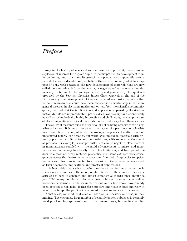#### <span id="page-6-0"></span>*Preface*

Rarely in the history of science does one have the opportunity to witness an explosion of interest for a given topic, to participate in its development from its beginning, and to witness its growth at a pace almost exponential over a period of about a decade. Yet, we believe that this is precisely what has happened to us, with regard to the new development of materials that are now called metamaterials, left-handed media, or negative refractive media. Fundamentally rooted in the electromagnetic theory and governed by the equations proposed by the Scottish physicist James Clerk Maxwell at the end of the 19th century, the development of these structured composite materials that we call *metamaterials* could have been another incremental step in the more general research in electromagnetics and optics. Yet, the scientific community quickly realized that the implications and applications opened by the study of metamaterials are unprecedented, potentially revolutionary, and scientifically as well as technologically highly interesting and challenging. A new paradigm of electromagnetic and optical materials has evolved today from these studies.

The study of metamaterials is often thought of as being associated with negative refraction. It is much more than that. Over the past decade, scientists have shown how to manipulate the macroscopic properties of matter at a level unachieved before. For decades, our world was limited to materials with primarily positive permittivities and permeabilities, with some exceptions such as plasmas, for example, whose permittivities can be negative. The research in metamaterials coupled with the rapid advancements in micro- and nanofabrication technology has totally lifted this limitation, and has opened the door to almost arbitrary material properties with some extraordinary consequences across the electromagnetic spectrum, from radio frequencies to optical frequencies. This book is devoted to a discussion of these consequences as well as their theoretical implications and practical applications.

It is inevitable that such a growing field has attracted much attention in the scientific as well as in the more popular literature: the number of scientific articles has been in constant and almost exponential growth since about the year 2000, many popular articles have been published in scientific as well as nonscientific journals, while technical reviews and a few books have already been devoted to this field. It therefore appears ambitious at best and risky at worst to attempt the publication of an additional reference in this arena.

Nonetheless, we think that such an addition is necessary and was, in fact, missing. The extremely large number of scientific papers published is certainly vivid proof of the rapid evolution of this research area, but getting familiar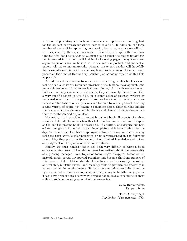<span id="page-7-0"></span>with and appreciating so much information also represent a daunting task for the student or researcher who is new to this field. In addition, the large number of new articles appearing on a weekly basis may also appear difficult to track, even by the expert researcher. It is with this spirit that we have targeted this book at as vast an audience as possible: the reader unfamiliar, but interested in this field, will find in the following pages the synthesis and organization of what we believe to be the most important and influential papers related to metamaterials, whereas the expert reader will hopefully find a useful viewpoint and detailed explanations of some of the most recent papers at the time of this writing, touching on as many aspects of this field as possible.

An additional motivation to undertake the writing of this book was our feeling that a coherent reference presenting the history, development, and main achievements of metamaterials was missing. Although some excellent books are already available to the reader, they are usually focused on either a very specific aspect of this field, or a compilation of chapters written by renowned scientists. In the present book, we have tried to remedy what we believe are limitations of the previous two formats by offering a book covering a wide variety of topics, yet having a coherence across chapters that enables the reader to cross-reference similar topics and, hence, to delve deeper into their presentation and explanation.

Naturally, it is impossible to present in a short book all aspects of a given scientific field, all the more when this field has become so vast and complex as the one the present book is devoted to. In addition, and despite our best efforts, our grasp of the field is also incomplete and is being refined by the day. We would therefore like to apologize upfront to those authors who may feel that their work is misrepresented or underrepresented in the following pages. May they put it on the account of our limited knowledge and not on our judgment of the quality of their contributions.

Finally, we must remark that it has been very difficult to write a book on an emerging area: it has almost been like writing about the personality of a growing teenager. New topics of today might disappear tomorrow or, instead, might reveal unexpected promises and become the front-runners of this research field. Metamaterials of the future will necessarily be robust and reliable, multifunctional, and reconfigurable to perform satisfactorily in various demanding environments. Today's metamaterials are quite primitive by these standards and developments are happening at breathtaking speeds. These have been the reasons why we decided not to have a concluding chapter – this book is an ongoing account of metamaterials.

> S. A. Ramakrishna *Kanpur, India*

T. M. Grzegorczyk *Cambridge, Massachusetts, USA*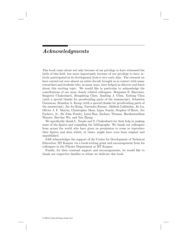#### <span id="page-8-0"></span>*Acknowledgments*

This book came about not only because of our privilege to have witnessed the birth of this field, but more importantly because of our privilege to have actively participated in its development from a very early date. The research we have carried out over almost an entire decade brought us in contact with many researchers and students who, in many ways, have helped us discover and learn about this exciting topic. We would like in particular to acknowledge the contributions of our most closely related colleagues: Benjamin E. Barrowes, Sangeeta Chakrabarti, Hongsheng Chen, Jianbing J. Chen, Xudong Chen (with a special thanks for proofreading parts of the manuscript), Sebastien Guenneau, Brandon A. Kemp (with a special thanks for proofreading parts of the manuscript), Jin Au Kong, Narendra Kumar, Akhlesh Lakhtakia, Jie Lu, Olivier J. F. Martin, Christopher Moss, Lipsa Nanda, Stephen O'Brien, Joe Pacheco, Jr., Sir John Pendry, Lixin Ran, Zachary Thomas, Harshawardhan Wanare, Bae-Ian Wu, and Yan Zhang.

We specifically thank L. Nanda and S. Chakrabarti for their help in making some of the figures and compiling the bibliography. We thank our colleagues from across the world who have given us permission to reuse or reproduce their figures and data which, at times, might have even been original and unpublished.

SAR acknowledges the support of the Centre for Development of Technical Education, IIT Kanpur via a book-writing grant and encouragement from his colleagues in the Physics Department at IIT Kanpur.

Finally, for their constant support and encouragements, we would like to thank our respective families to whom we dedicate this book.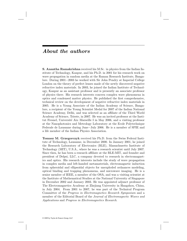#### <span id="page-9-0"></span>*About the authors*

**S. Anantha Ramakrishna** received his M.Sc. in physics from the Indian Institute of Technology, Kanpur, and his Ph.D. in 2001 for his research work on wave propagation in random media at the Raman Research Institute, Bangalore. During 2001−2003 he worked with Sir John Pendry at Imperial College London on the theory of perfect lenses made of the newly discovered negative refractive index materials. In 2003, he joined the Indian Institute of Technology, Kanpur as an assistant professor and is presently an associate professor of physics there. His research interests concern complex wave phenomena in optics and condensed matter physics. He published the first comprehensive, technical review on the development of negative refractive index materials in 2005. He is a Young Associate of the Indian Academy of Science, Bangalore, a recipient of the Young Scientist Medal for 2007 of the Indian National Science Academy, Delhi, and was selected as an affiliate of the Third World Academy of Science, Trieste, in 2007. He was an invited professor at the Institut Fresnel, Université Aix–Marseille I in May 2006, and a visiting professor at the Nanophotonics and Metrology Laboratory at the Ecole Polytechnique Federale de Lausanne during June−July 2006. He is a member of SPIE and a life member of the Indian Physics Association.

**Tomasz M. Grzegorczyk** received his Ph.D. from the Swiss Federal Institute of Technology, Lausanne, in December 2000. In January 2001, he joined the Research Laboratory of Electronics (RLE), Massachusetts Institute of Technology (MIT), U.S.A., where he was a research scientist until July 2007. Since then, he has been a research affiliate at the RLE-MIT, and founder and president of Delpsi, LLC, a company devoted to research in electromagnetics and optics. His research interests include the study of wave propagation in complex media and left-handed metamaterials, electromagnetic induction from spheroidal and ellipsoidal objects for unexploded ordnances modeling, optical binding and trapping phenomena, and microwave imaging. He is a senior member of IEEE, a member of the OSA, and was a visiting scientist at the Institute of Mathematical Studies at the National University of Singapore in December 2002 and January 2003. He was appointed adjunct professor of The Electromagnetics Academy at Zhejiang University in Hangzhou, China, in July 2004. From 2001 to 2007, he was part of the Technical Program Committee of the *Progress in Electromagnetics Research Symposium* and a member of the Editorial Board of the *Journal of Electromagnetic Waves and Applications* and *Progress in Electromagnetics Research*.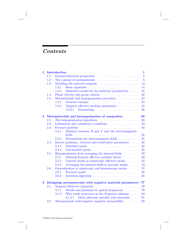### <span id="page-10-0"></span>*Contents*

| $\mathbf 1$    |                                                           | Introduction                                                                       | $\mathbf 1$    |  |  |
|----------------|-----------------------------------------------------------|------------------------------------------------------------------------------------|----------------|--|--|
|                | 1.1                                                       | General historical perspective<br>والمتواط والمتواط والمتواط والمتواط والمتواطئ    | $\overline{2}$ |  |  |
|                | 1.2                                                       | 8                                                                                  |                |  |  |
|                | 1.3                                                       | Modeling the material response                                                     | 14             |  |  |
|                |                                                           | Basic equations $\ldots \ldots \ldots \ldots \ldots \ldots \ldots \ldots$<br>1.3.1 | 14             |  |  |
|                |                                                           | Dispersive model for the dielectric permittivity $\ldots$ .<br>1.3.2               | 18             |  |  |
|                | 1.4                                                       | Phase velocity and group velocity                                                  | 22             |  |  |
|                | 1.5                                                       | Metamaterials and homogenization procedure                                         | 24             |  |  |
|                |                                                           | 1.5.1                                                                              | 24             |  |  |
|                |                                                           | Negative effective medium parameters $\ldots \ldots \ldots$<br>1.5.2               | 25             |  |  |
|                |                                                           | 1.5.2.1                                                                            | 26             |  |  |
| $\overline{2}$ | Metamaterials and homogenization of composites            |                                                                                    |                |  |  |
|                | 2.1                                                       | The homogenization hypothesis $\ldots \ldots \ldots \ldots \ldots$                 | 30             |  |  |
|                | 2.2                                                       | Limitations and consistency conditions                                             | 33             |  |  |
|                | 2.3                                                       |                                                                                    | 34             |  |  |
|                |                                                           | Relation between $R$ and $T$ and the electromagnetic<br>2.3.1                      |                |  |  |
|                |                                                           |                                                                                    | 35             |  |  |
|                |                                                           | 2.3.2<br>Determining the electromagnetic fields                                    | 35             |  |  |
|                | 2.4                                                       | Inverse problems: retrieval and constitutive parameters                            | 42             |  |  |
|                |                                                           | 2.4.1                                                                              | 42             |  |  |
|                |                                                           | 2.4.2                                                                              | 45             |  |  |
|                | 2.5                                                       | Homogenization from averaging the internal fields $\ldots \ldots$                  | 49             |  |  |
|                |                                                           | 2.5.1<br>Maxwell-Garnett effective medium theory $\dots \dots$                     | 50             |  |  |
|                |                                                           | 2.5.2<br>Layered media as anisotropic effective media $\ldots$ .                   | 52             |  |  |
|                |                                                           | 2.5.3<br>Averaging the internal fields in periodic media                           | 54             |  |  |
|                | 2.6                                                       | Generalization to anisotropic and bianisotropic media                              | 57             |  |  |
|                |                                                           | 2.6.1                                                                              | 58             |  |  |
|                |                                                           | 2.6.2                                                                              | 65             |  |  |
| 3              | Designing metamaterials with negative material parameters |                                                                                    |                |  |  |
|                | 3.1                                                       |                                                                                    | 79             |  |  |
|                |                                                           | Metals and plasmons at optical frequencies<br>3.1.1                                | 79             |  |  |
|                |                                                           | Wire mesh structures as low frequency plasmas $\ldots$ .<br>3.1.2                  | 83             |  |  |
|                |                                                           | Other photonic metallic wire materials<br>3.1.2.1                                  | 91             |  |  |
|                | 3.2                                                       | Metamaterials with negative magnetic permeability                                  | 92             |  |  |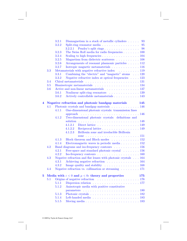<span id="page-11-0"></span>

|    |                                                                           | 3.2.1 | Diamagnetism in a stack of metallic cylinders $\dots$ .<br>93                             |  |  |  |  |
|----|---------------------------------------------------------------------------|-------|-------------------------------------------------------------------------------------------|--|--|--|--|
|    |                                                                           | 3.2.2 | Split-ring resonator media $\ldots \ldots \ldots \ldots \ldots$<br>95                     |  |  |  |  |
|    |                                                                           |       | 3.2.2.1                                                                                   |  |  |  |  |
|    |                                                                           | 3.2.3 | The Swiss Roll media for radio frequencies 100 $\,$                                       |  |  |  |  |
|    |                                                                           | 3.2.4 |                                                                                           |  |  |  |  |
|    |                                                                           | 3.2.5 | Magnetism from dielectric scatterers 108                                                  |  |  |  |  |
|    |                                                                           | 3.2.6 | Arrangements of resonant plasmonic particles 112                                          |  |  |  |  |
|    |                                                                           | 3.2.7 | Isotropic magnetic metamaterials 116                                                      |  |  |  |  |
|    | 3.3                                                                       |       | Metamaterials with negative refractive index 119                                          |  |  |  |  |
|    |                                                                           | 3.3.1 | Combining the "electric" and "magnetic" atoms $\ldots$ 120                                |  |  |  |  |
|    |                                                                           | 3.3.2 | Negative refractive index at optical frequencies $\ldots$ . 123                           |  |  |  |  |
|    | 3.4                                                                       |       | Chiral metamaterials $\ldots \ldots \ldots \ldots \ldots \ldots \ldots \ldots \ldots 131$ |  |  |  |  |
|    | 3.5                                                                       |       |                                                                                           |  |  |  |  |
|    | 3.6                                                                       |       | Active and non-linear metamaterials 137                                                   |  |  |  |  |
|    |                                                                           | 3.6.1 | Nonlinear split-ring resonators 139                                                       |  |  |  |  |
|    |                                                                           | 3.6.2 | Actively controllable metamaterials 143                                                   |  |  |  |  |
| 4  |                                                                           |       | Negative refraction and photonic bandgap materials<br>145                                 |  |  |  |  |
|    | 4.1                                                                       |       | Photonic crystals and bandgap materials 146                                               |  |  |  |  |
|    |                                                                           | 4.1.1 | One-dimensional photonic crystals: transmission lines                                     |  |  |  |  |
|    |                                                                           |       | approach $\ldots \ldots \ldots \ldots \ldots \ldots \ldots \ldots \ldots 146$             |  |  |  |  |
|    |                                                                           | 4.1.2 | Two-dimensional photonic crystals: definitions and                                        |  |  |  |  |
|    |                                                                           |       |                                                                                           |  |  |  |  |
|    |                                                                           |       | 4.1.2.1<br>Direct lattice $\ldots \ldots \ldots \ldots \ldots \ldots \ldots 149$          |  |  |  |  |
|    |                                                                           |       | Reciprocal lattice 149<br>4.1.2.2                                                         |  |  |  |  |
|    |                                                                           |       | 4.1.2.3<br>Brillouin zone and irreducible Brillouin                                       |  |  |  |  |
|    |                                                                           | 4.1.3 | Bloch theorem and Bloch modes $\ldots \ldots \ldots \ldots 152$                           |  |  |  |  |
|    |                                                                           | 4.1.4 | Electromagnetic waves in periodic media $\ldots \ldots \ldots 152$                        |  |  |  |  |
|    | 4.2                                                                       |       | Band diagrams and iso-frequency contours 156                                              |  |  |  |  |
|    |                                                                           | 4.2.1 | Free-space and standard photonic crystal $\ldots \ldots \ldots 156$                       |  |  |  |  |
|    |                                                                           | 4.2.2 | Iso-frequency contours $\dots \dots \dots \dots \dots \dots \dots \dots \dots \dots 160$  |  |  |  |  |
|    | 4.3                                                                       |       | Negative refraction and flat lenses with photonic crystals 164                            |  |  |  |  |
|    |                                                                           | 4.3.1 | Achieving negative refraction 164                                                         |  |  |  |  |
|    |                                                                           | 4.3.2 | Image quality and stability $\dots \dots \dots \dots \dots \dots \dots 168$               |  |  |  |  |
|    | 4.4                                                                       |       | Negative refraction vs. collimation or streaming $\ldots \ldots \ldots 171$               |  |  |  |  |
| 5. | Media with $\varepsilon < 0$ and $\mu < 0$ : theory and properties<br>175 |       |                                                                                           |  |  |  |  |
|    | 5.1                                                                       |       | Origins of negative refraction $\ldots \ldots \ldots \ldots \ldots \ldots \ldots 176$     |  |  |  |  |
|    |                                                                           | 5.1.1 | Dispersion relation $\ldots \ldots \ldots \ldots \ldots \ldots \ldots 177$                |  |  |  |  |
|    |                                                                           | 5.1.2 | Anisotropic media with positive constitutive                                              |  |  |  |  |
|    |                                                                           |       | parameters $\ldots \ldots \ldots \ldots \ldots \ldots \ldots \ldots \ldots 180$           |  |  |  |  |
|    |                                                                           | 5.1.3 |                                                                                           |  |  |  |  |
|    |                                                                           | 5.1.4 |                                                                                           |  |  |  |  |
|    |                                                                           | 5.1.5 |                                                                                           |  |  |  |  |
|    |                                                                           |       |                                                                                           |  |  |  |  |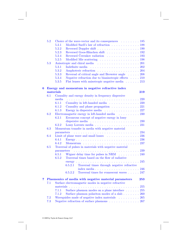|   | 5.2                                              |            | Choice of the wave-vector and its consequences $\dots \dots \dots 185$                           |  |  |  |
|---|--------------------------------------------------|------------|--------------------------------------------------------------------------------------------------|--|--|--|
|   |                                                  | 5.2.1      | Modified Snell's law of refraction 188                                                           |  |  |  |
|   |                                                  | 5.2.2      |                                                                                                  |  |  |  |
|   |                                                  | 5.2.3      | Reversed Goos-Hänchen shift $\ldots \ldots \ldots \ldots \ldots 192$                             |  |  |  |
|   |                                                  | 5.2.4      | Reversed Cerenkov radiation 193                                                                  |  |  |  |
|   |                                                  | 5.2.5      | Modified Mie scattering 198                                                                      |  |  |  |
|   | 5.3                                              |            | Anisotropic and chiral media 201                                                                 |  |  |  |
|   |                                                  | 5.3.1      | Indefinite media                                                                                 |  |  |  |
|   |                                                  | 5.3.2      | Amphoteric refraction 204                                                                        |  |  |  |
|   |                                                  | 5.3.3      | Reversal of critical angle and Brewster angle 208                                                |  |  |  |
|   |                                                  | 5.3.4      | Negative refraction due to bianisotropic effects $\ldots$ . 210                                  |  |  |  |
|   |                                                  | 5.3.5      | Flat lenses with anisotropic negative media $\ldots \ldots$ 213                                  |  |  |  |
| 6 | Energy and momentum in negative refractive index |            |                                                                                                  |  |  |  |
|   |                                                  | materials  | 219                                                                                              |  |  |  |
|   | 6.1                                              |            | Causality and energy density in frequency dispersive                                             |  |  |  |
|   |                                                  | media      |                                                                                                  |  |  |  |
|   |                                                  | 6.1.1      | Causality in left-handed media 220                                                               |  |  |  |
|   |                                                  | 6.1.2      | Causality and phase propagation 221                                                              |  |  |  |
|   |                                                  | 6.1.3      | Energy in dispersive media $\ldots \ldots \ldots \ldots \ldots 227$                              |  |  |  |
|   | 6.2                                              |            | Electromagnetic energy in left-handed media 230                                                  |  |  |  |
|   |                                                  | 6.2.1      | Erroneous concept of negative energy in lossy                                                    |  |  |  |
|   |                                                  |            | dispersive media $\ldots \ldots \ldots \ldots \ldots \ldots \ldots \ldots 230$                   |  |  |  |
|   |                                                  | 6.2.2      |                                                                                                  |  |  |  |
|   | 6.3                                              |            | Momentum transfer in media with negative material                                                |  |  |  |
|   |                                                  |            | parameters $\ldots \ldots \ldots \ldots \ldots \ldots \ldots \ldots \ldots \ldots \ldots$        |  |  |  |
|   | 6.4                                              |            | Limit of plane wave and small losses $\dots \dots \dots \dots \dots \dots 236$                   |  |  |  |
|   |                                                  | 6.4.1      |                                                                                                  |  |  |  |
|   |                                                  | 6.4.2      |                                                                                                  |  |  |  |
|   | 6.5                                              |            | Traversal of pulses in materials with negative material                                          |  |  |  |
|   |                                                  | parameters |                                                                                                  |  |  |  |
|   |                                                  | 6.5.1      | Wigner delay time for pulses in NRM $\ldots \ldots \ldots 240$                                   |  |  |  |
|   |                                                  | 6.5.2      | Traversal times based on the flow of radiative                                                   |  |  |  |
|   |                                                  |            |                                                                                                  |  |  |  |
|   |                                                  |            | Traversal times through negative refractive<br>6.5.2.1                                           |  |  |  |
|   |                                                  |            | $index media \ldots \ldots \ldots \ldots \ldots \ldots \ldots 246$                               |  |  |  |
|   |                                                  |            | Traversal times for evanescent waves $\ldots$ . 247<br>6.5.2.2                                   |  |  |  |
| 7 |                                                  |            | Plasmonics of media with negative material parameters<br>253                                     |  |  |  |
|   | 7.1                                              |            | Surface electromagnetic modes in negative refractive                                             |  |  |  |
|   |                                                  | materials  | .<br>De la característica de la característica de la característica<br>255<br>and a straight and |  |  |  |
|   |                                                  | 7.1.1      | Surface plasmon modes on a plane interface $\dots \dots$ . 255                                   |  |  |  |
|   |                                                  | 7.1.2      | Surface plasmon polariton modes of a slab<br><b>260</b>                                          |  |  |  |
|   | 7.2                                              |            | Waveguides made of negative index materials $\ldots \ldots \ldots 265$                           |  |  |  |
|   | 7.3                                              |            | Negative refraction of surface plasmons $\ldots \ldots \ldots \ldots 267$                        |  |  |  |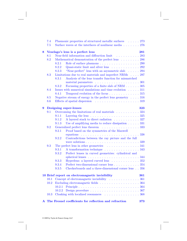<span id="page-13-0"></span>

|              | 7.4                                  |        | Plasmonic properties of structured metallic surfaces 273                                                                                   |     |  |
|--------------|--------------------------------------|--------|--------------------------------------------------------------------------------------------------------------------------------------------|-----|--|
|              | 7.5                                  |        | Surface waves at the interfaces of nonlinear media $\ldots \ldots \ldots 276$                                                              |     |  |
| 8            |                                      |        | Veselago's lens is a perfect lens                                                                                                          | 281 |  |
|              | 8.1                                  |        | Near-field information and diffraction limit 283                                                                                           |     |  |
|              | 8.2                                  |        | Mathematical demonstration of the perfect lens 286                                                                                         |     |  |
|              |                                      | 8.2.1  | Role of surface plasmons 290                                                                                                               |     |  |
|              |                                      | 8.2.2  | Quasi-static limit and silver lens 292                                                                                                     |     |  |
|              |                                      | 8.2.3  | "Near-perfect" lens with an asymmetric slab 294                                                                                            |     |  |
|              | 8.3                                  |        | Limitations due to real materials and imperfect NRMs $\ldots$ . 297                                                                        |     |  |
|              |                                      | 8.3.1  | Analysis of the lens transfer function for mismatched                                                                                      |     |  |
|              |                                      | 8.3.2  | Focussing properties of a finite slab of NRM $\ldots$ $\ldots$ 305                                                                         |     |  |
|              | 8.4                                  |        | Issues with numerical simulations and time evolution $\ldots$ 311                                                                          |     |  |
|              |                                      | 8.4.1  | Temporal evolution of the focus $\dots \dots \dots \dots \dots 315$                                                                        |     |  |
|              | 8.5                                  |        | Negative stream of energy in the perfect lens geometry $\dots$ . 316                                                                       |     |  |
|              | 8.6                                  |        | Effects of spatial dispersion $\ldots \ldots \ldots \ldots \ldots \ldots \ldots$ 319                                                       |     |  |
| 9            | <b>Designing super-lenses</b><br>323 |        |                                                                                                                                            |     |  |
|              | 9.1                                  |        | Overcoming the limitations of real materials $\ldots \ldots \ldots 324$                                                                    |     |  |
|              |                                      | 9.1.1  | Layering the lens $\ldots \ldots \ldots \ldots \ldots \ldots \ldots \ldots 325$                                                            |     |  |
|              |                                      | 9.1.2  | A layered stack to direct radiation 327                                                                                                    |     |  |
|              |                                      | 9.1.3  | Use of amplifying media to reduce dissipation $\ldots$ 331                                                                                 |     |  |
|              | 9.2                                  |        | Generalized perfect lens theorem 333                                                                                                       |     |  |
|              |                                      | 9.2.1  | Proof based on the symmetries of the Maxwell                                                                                               |     |  |
|              |                                      |        | equations $\ldots \ldots \ldots \ldots \ldots \ldots \ldots \ldots \ldots \ldots \ldots 338$                                               |     |  |
|              |                                      | 9.2.2  | Contradictions between the ray picture and the full<br>wave solutions $\ldots \ldots \ldots \ldots \ldots \ldots \ldots \ldots \ldots 339$ |     |  |
|              | 9.3                                  |        | The perfect lens in other geometries $\dots \dots \dots \dots \dots 341$                                                                   |     |  |
|              |                                      | 9.3.1  | A transformation technique 343                                                                                                             |     |  |
|              |                                      | 9.3.2  | Perfect lenses in curved geometries: cylindrical and                                                                                       |     |  |
|              |                                      |        |                                                                                                                                            |     |  |
|              |                                      | 9.3.3  | Hyperlens: a layered curved lens 352                                                                                                       |     |  |
|              |                                      | 9.3.4  | Perfect two-dimensional corner lens 354                                                                                                    |     |  |
|              |                                      | 9.3.5  | Checkerboards and a three-dimensional corner lens $\ldots$ 356                                                                             |     |  |
|              |                                      |        | 10 Brief report on electromagnetic invisibility                                                                                            | 361 |  |
|              | 10.1                                 |        | Concept of electromagnetic invisibility $\ldots \ldots \ldots \ldots 361$                                                                  |     |  |
|              | 10.2                                 |        | Excluding electromagnetic fields 364                                                                                                       |     |  |
|              |                                      | 10.2.1 |                                                                                                                                            |     |  |
|              |                                      | 10.2.2 |                                                                                                                                            |     |  |
|              | <b>10.3</b>                          |        | Cloaking with localized resonances 368                                                                                                     |     |  |
| $\mathbf{A}$ |                                      |        | The Fresnel coefficients for reflection and refraction                                                                                     | 373 |  |